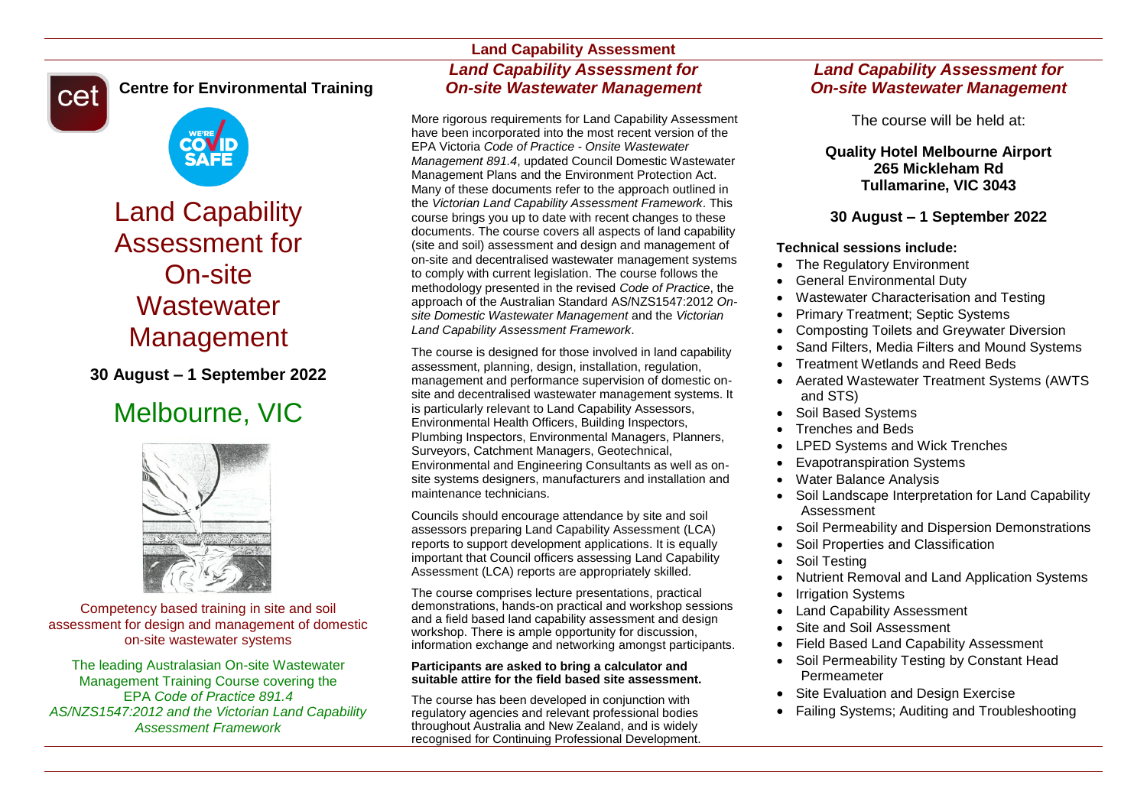

**Centre for Environmental Training**



Land Capability Assessment for On-site **Wastewater** Management

**30 August – 1 September 2022**

# Melbourne, VIC



Competency based training in site and soil assessment for design and management of domestic on-site wastewater systems

The leading Australasian On-site Wastewater Management Training Course covering the EPA *Code of Practice 891.4 AS/NZS1547:2012 and the Victorian Land Capability Assessment Framework*

# **Land Capability Assessment** *Land Capability Assessment for On-site Wastewater Management*

More rigorous requirements for Land Capability Assessment have been incorporated into the most recent version of the EPA Victoria *Code of Practice - Onsite Wastewater Management 891.4*, updated Council Domestic Wastewater Management Plans and the Environment Protection Act. Many of these documents refer to the approach outlined in the *Victorian Land Capability Assessment Framework*. This course brings you up to date with recent changes to these documents. The course covers all aspects of land capability (site and soil) assessment and design and management of on-site and decentralised wastewater management systems to comply with current legislation. The course follows the methodology presented in the revised *Code of Practice*, the approach of the Australian Standard AS/NZS1547:2012 *Onsite Domestic Wastewater Management* and the *Victorian Land Capability Assessment Framework*.

The course is designed for those involved in land capability assessment, planning, design, installation, regulation, management and performance supervision of domestic onsite and decentralised wastewater management systems. It is particularly relevant to Land Capability Assessors, Environmental Health Officers, Building Inspectors, Plumbing Inspectors, Environmental Managers, Planners, Surveyors, Catchment Managers, Geotechnical, Environmental and Engineering Consultants as well as onsite systems designers, manufacturers and installation and maintenance technicians.

Councils should encourage attendance by site and soil assessors preparing Land Capability Assessment (LCA) reports to support development applications. It is equally important that Council officers assessing Land Capability Assessment (LCA) reports are appropriately skilled.

The course comprises lecture presentations, practical demonstrations, hands-on practical and workshop sessions and a field based land capability assessment and design workshop. There is ample opportunity for discussion, information exchange and networking amongst participants.

#### **Participants are asked to bring a calculator and suitable attire for the field based site assessment.**

The course has been developed in conjunction with regulatory agencies and relevant professional bodies throughout Australia and New Zealand, and is widely recognised for Continuing Professional Development.

# *Land Capability Assessment for On-site Wastewater Management*

The course will be held at:

## **Quality Hotel Melbourne Airport 265 Mickleham Rd Tullamarine, VIC 3043**

## **30 August – 1 September 2022**

## **Technical sessions include:**

- The Regulatory Environment
- General Environmental Duty
- Wastewater Characterisation and Testing
- Primary Treatment; Septic Systems
- Composting Toilets and Greywater Diversion
- Sand Filters, Media Filters and Mound Systems
- Treatment Wetlands and Reed Beds
- Aerated Wastewater Treatment Systems (AWTS and STS)
- Soil Based Systems
- Trenches and Beds
- LPED Systems and Wick Trenches
- Evapotranspiration Systems
- Water Balance Analysis
- Soil Landscape Interpretation for Land Capability Assessment
- Soil Permeability and Dispersion Demonstrations
- Soil Properties and Classification
- Soil Testing
- Nutrient Removal and Land Application Systems
- Irrigation Systems
- Land Capability Assessment
- Site and Soil Assessment
- Field Based Land Capability Assessment
- Soil Permeability Testing by Constant Head Permeameter
- Site Evaluation and Design Exercise
- Failing Systems; Auditing and Troubleshooting